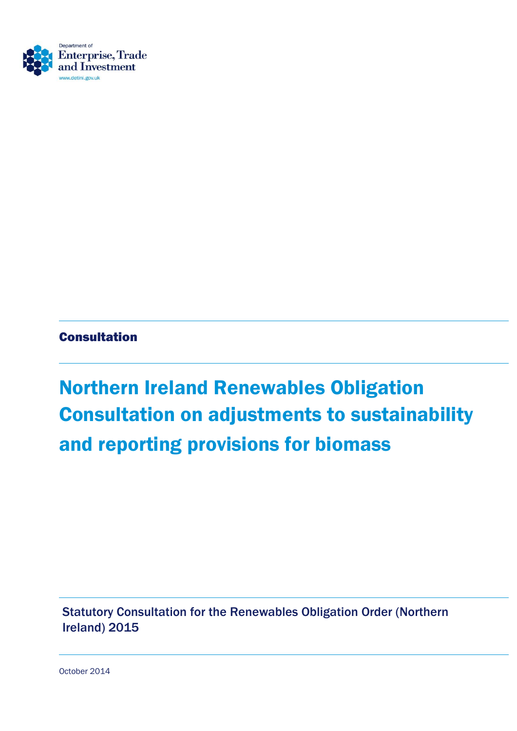

#### Consultation

# Northern Ireland Renewables Obligation Consultation on adjustments to sustainability and reporting provisions for biomass

Statutory Consultation for the Renewables Obligation Order (Northern Ireland) 2015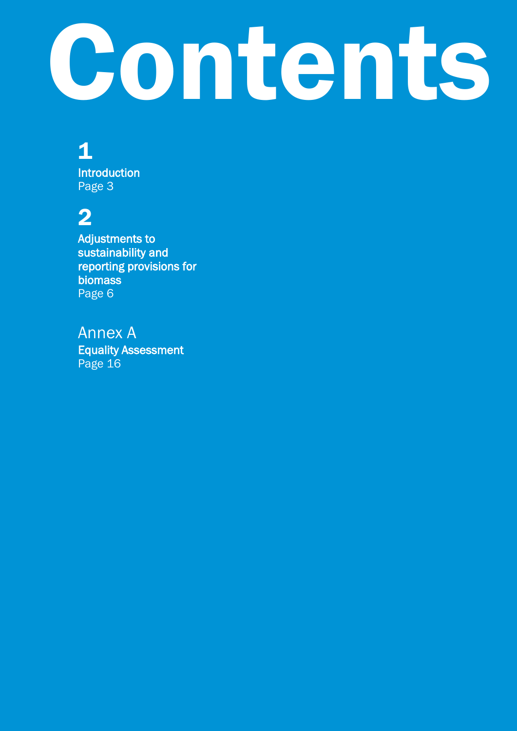# Contents

# 1

**Introduction** Page 3

# 2

Adjustments to sustainability and reporting provisions for biomass Page 6

#### Annex A

Equality Assessment Page 16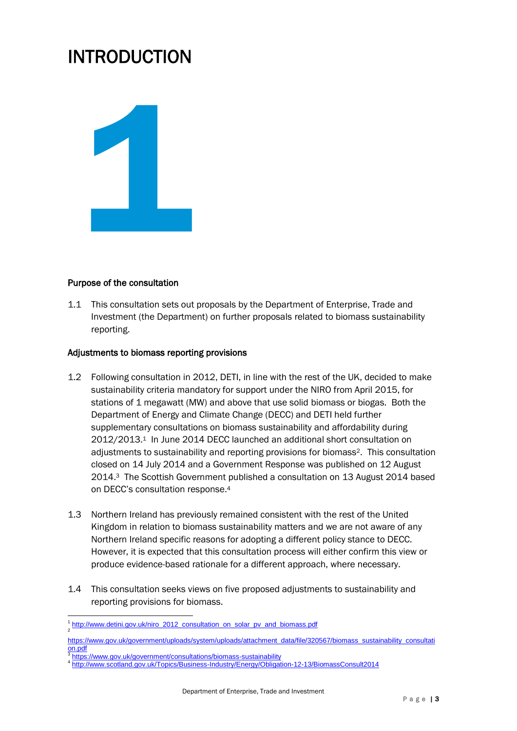## INTRODUCTION



#### Purpose of the consultation

1.1 This consultation sets out proposals by the Department of Enterprise, Trade and Investment (the Department) on further proposals related to biomass sustainability reporting.

#### Adjustments to biomass reporting provisions

- 1.2 Following consultation in 2012, DETI, in line with the rest of the UK, decided to make sustainability criteria mandatory for support under the NIRO from April 2015, for stations of 1 megawatt (MW) and above that use solid biomass or biogas. Both the Department of Energy and Climate Change (DECC) and DETI held further supplementary consultations on biomass sustainability and affordability during 2012/2013.<sup>1</sup> In June 2014 DECC launched an additional short consultation on adjustments to sustainability and reporting provisions for biomass2. This consultation closed on 14 July 2014 and a Government Response was published on 12 August 2014.<sup>3</sup> The Scottish Government published a consultation on 13 August 2014 based on DECC's consultation response.<sup>4</sup>
- 1.3 Northern Ireland has previously remained consistent with the rest of the United Kingdom in relation to biomass sustainability matters and we are not aware of any Northern Ireland specific reasons for adopting a different policy stance to DECC. However, it is expected that this consultation process will either confirm this view or produce evidence-based rationale for a different approach, where necessary.
- 1.4 This consultation seeks views on five proposed adjustments to sustainability and reporting provisions for biomass.

<sup>1</sup> <sup>1</sup> <u>[http://www.detini.gov.uk/niro\\_2012\\_consultation\\_on\\_solar\\_pv\\_and\\_biomass.pdf](http://www.detini.gov.uk/niro_2012_consultation_on_solar_pv_and_biomass.pdf)</u>

[https://www.gov.uk/government/uploads/system/uploads/attachment\\_data/file/320567/biomass\\_sustainability\\_consultati](https://www.gov.uk/government/uploads/system/uploads/attachment_data/file/320567/biomass_sustainability_consultation.pdf)  $rac{\text{on.pdf}}{\text{attna}}$  $rac{\text{on.pdf}}{\text{attna}}$  $rac{\text{on.pdf}}{\text{attna}}$ 

<https://www.gov.uk/government/consultations/biomass-sustainability>

<sup>4</sup> <http://www.scotland.gov.uk/Topics/Business-Industry/Energy/Obligation-12-13/BiomassConsult2014>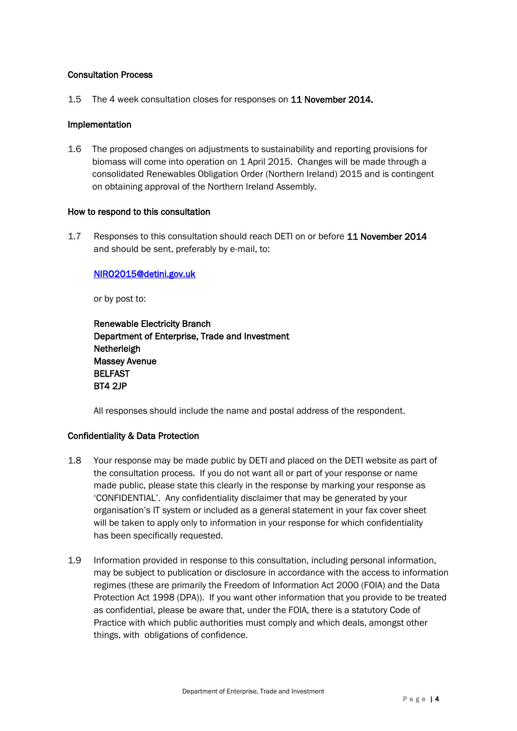#### Consultation Process

1.5 The 4 week consultation closes for responses on 11 November 2014.

#### Implementation

1.6 The proposed changes on adjustments to sustainability and reporting provisions for biomass will come into operation on 1 April 2015. Changes will be made through a consolidated Renewables Obligation Order (Northern Ireland) 2015 and is contingent on obtaining approval of the Northern Ireland Assembly.

#### How to respond to this consultation

1.7 Responses to this consultation should reach DETI on or before 11 November 2014 and should be sent, preferably by e-mail, to:

#### [NIRO2015@detini.gov.uk](mailto:NIRO2015@detini.gov.uk)

or by post to:

| <b>Renewable Electricity Branch</b>            |
|------------------------------------------------|
| Department of Enterprise, Trade and Investment |
| Netherleigh                                    |
| <b>Massey Avenue</b>                           |
| <b>BELFAST</b>                                 |
| <b>BT4 2JP</b>                                 |

All responses should include the name and postal address of the respondent.

#### Confidentiality & Data Protection

- 1.8 Your response may be made public by DETI and placed on the DETI website as part of the consultation process. If you do not want all or part of your response or name made public, please state this clearly in the response by marking your response as 'CONFIDENTIAL'. Any confidentiality disclaimer that may be generated by your organisation's IT system or included as a general statement in your fax cover sheet will be taken to apply only to information in your response for which confidentiality has been specifically requested.
- 1.9 Information provided in response to this consultation, including personal information, may be subject to publication or disclosure in accordance with the access to information regimes (these are primarily the Freedom of Information Act 2000 (FOIA) and the Data Protection Act 1998 (DPA)). If you want other information that you provide to be treated as confidential, please be aware that, under the FOIA, there is a statutory Code of Practice with which public authorities must comply and which deals, amongst other things, with obligations of confidence.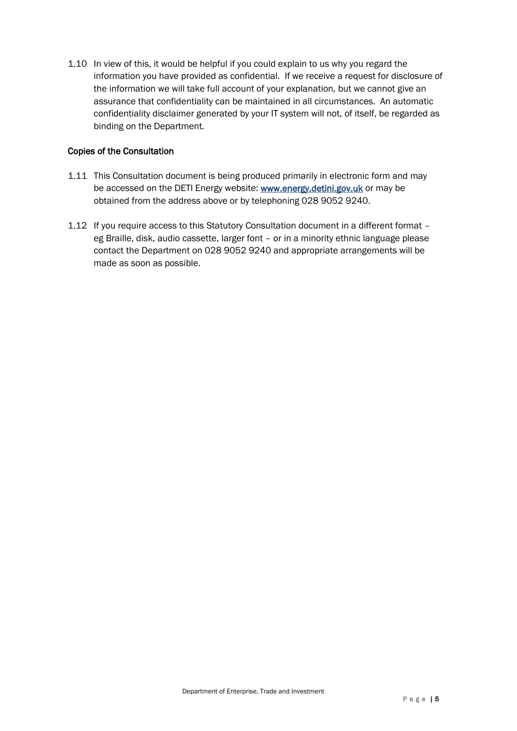1.10 In view of this, it would be helpful if you could explain to us why you regard the information you have provided as confidential. If we receive a request for disclosure of the information we will take full account of your explanation, but we cannot give an assurance that confidentiality can be maintained in all circumstances. An automatic confidentiality disclaimer generated by your IT system will not, of itself, be regarded as binding on the Department*.* 

#### Copies of the Consultation

- 1.11 This Consultation document is being produced primarily in electronic form and may be accessed on the DETI Energy website: [www.energy.detini.gov.uk](http://www.energy.detini.gov.uk/) or may be obtained from the address above or by telephoning 028 9052 9240.
- 1.12 If you require access to this Statutory Consultation document in a different format eg Braille, disk, audio cassette, larger font – or in a minority ethnic language please contact the Department on 028 9052 9240 and appropriate arrangements will be made as soon as possible.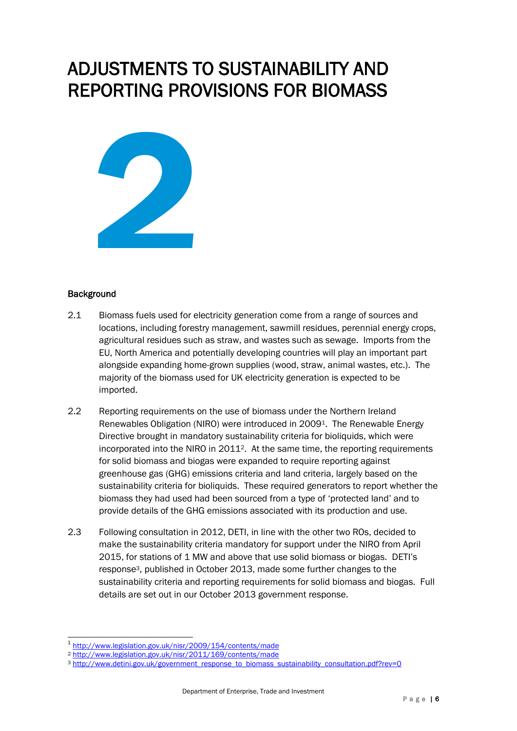## ADJUSTMENTS TO SUSTAINABILITY AND REPORTING PROVISIONS FOR BIOMASS



#### **Background**

- 2.1 Biomass fuels used for electricity generation come from a range of sources and locations, including forestry management, sawmill residues, perennial energy crops, agricultural residues such as straw, and wastes such as sewage. Imports from the EU, North America and potentially developing countries will play an important part alongside expanding home-grown supplies (wood, straw, animal wastes, etc.). The majority of the biomass used for UK electricity generation is expected to be imported.
- 2.2 Reporting requirements on the use of biomass under the Northern Ireland Renewables Obligation (NIRO) were introduced in 20091. The Renewable Energy Directive brought in mandatory sustainability criteria for bioliquids, which were incorporated into the NIRO in 20112. At the same time, the reporting requirements for solid biomass and biogas were expanded to require reporting against greenhouse gas (GHG) emissions criteria and land criteria, largely based on the sustainability criteria for bioliquids. These required generators to report whether the biomass they had used had been sourced from a type of 'protected land' and to provide details of the GHG emissions associated with its production and use.
- 2.3 Following consultation in 2012, DETI, in line with the other two ROs, decided to make the sustainability criteria mandatory for support under the NIRO from April 2015, for stations of 1 MW and above that use solid biomass or biogas. DETI's response3, published in October 2013, made some further changes to the sustainability criteria and reporting requirements for solid biomass and biogas. Full details are set out in our October 2013 government response.

 $\overline{a}$ 1 <http://www.legislation.gov.uk/nisr/2009/154/contents/made>

<sup>2</sup> <http://www.legislation.gov.uk/nisr/2011/169/contents/made>

<sup>&</sup>lt;sup>3</sup> [http://www.detini.gov.uk/government\\_response\\_to\\_biomass\\_sustainability\\_consultation.pdf?rev=0](http://www.detini.gov.uk/government_response_to_biomass_sustainability_consultation.pdf?rev=0)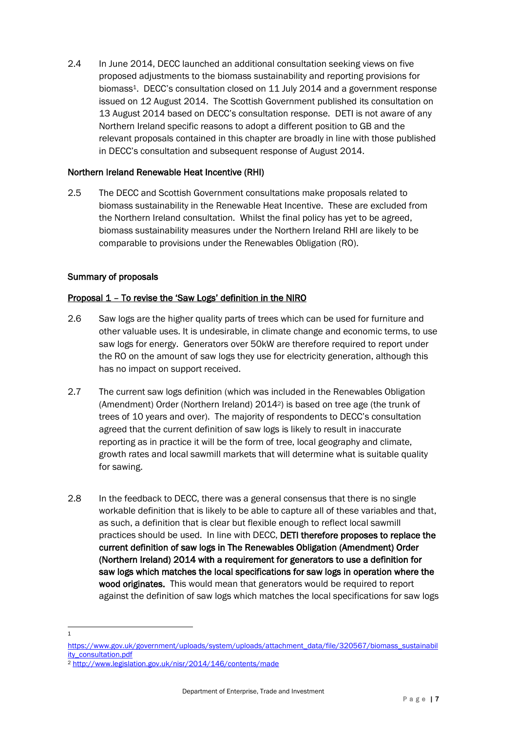2.4 In June 2014, DECC launched an additional consultation seeking views on five proposed adjustments to the biomass sustainability and reporting provisions for biomass<sup>1</sup>. DECC's consultation closed on 11 July 2014 and a government response issued on 12 August 2014. The Scottish Government published its consultation on 13 August 2014 based on DECC's consultation response. DETI is not aware of any Northern Ireland specific reasons to adopt a different position to GB and the relevant proposals contained in this chapter are broadly in line with those published in DECC's consultation and subsequent response of August 2014.

#### Northern Ireland Renewable Heat Incentive (RHI)

2.5 The DECC and Scottish Government consultations make proposals related to biomass sustainability in the Renewable Heat Incentive. These are excluded from the Northern Ireland consultation. Whilst the final policy has yet to be agreed, biomass sustainability measures under the Northern Ireland RHI are likely to be comparable to provisions under the Renewables Obligation (RO).

#### Summary of proposals

#### Proposal 1 – To revise the 'Saw Logs' definition in the NIRO

- 2.6 Saw logs are the higher quality parts of trees which can be used for furniture and other valuable uses. It is undesirable, in climate change and economic terms, to use saw logs for energy. Generators over 50kW are therefore required to report under the RO on the amount of saw logs they use for electricity generation, although this has no impact on support received.
- 2.7 The current saw logs definition (which was included in the Renewables Obligation (Amendment) Order (Northern Ireland) 20142) is based on tree age (the trunk of trees of 10 years and over). The majority of respondents to DECC's consultation agreed that the current definition of saw logs is likely to result in inaccurate reporting as in practice it will be the form of tree, local geography and climate, growth rates and local sawmill markets that will determine what is suitable quality for sawing.
- 2.8 In the feedback to DECC, there was a general consensus that there is no single workable definition that is likely to be able to capture all of these variables and that, as such, a definition that is clear but flexible enough to reflect local sawmill practices should be used. In line with DECC, DETI therefore proposes to replace the current definition of saw logs in The Renewables Obligation (Amendment) Order (Northern Ireland) 2014 with a requirement for generators to use a definition for saw logs which matches the local specifications for saw logs in operation where the wood originates. This would mean that generators would be required to report against the definition of saw logs which matches the local specifications for saw logs
- 1 1

[https://www.gov.uk/government/uploads/system/uploads/attachment\\_data/file/320567/biomass\\_sustainabil](https://www.gov.uk/government/uploads/system/uploads/attachment_data/file/320567/biomass_sustainability_consultation.pdf) [ity\\_consultation.pdf](https://www.gov.uk/government/uploads/system/uploads/attachment_data/file/320567/biomass_sustainability_consultation.pdf)

<sup>2</sup> <http://www.legislation.gov.uk/nisr/2014/146/contents/made>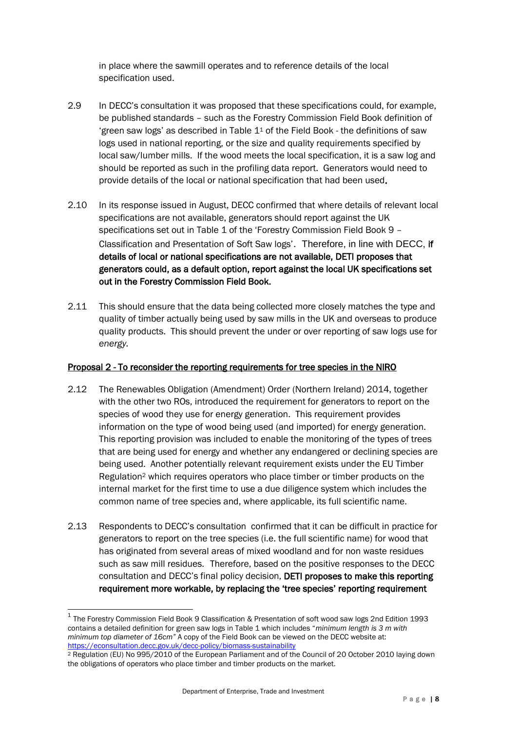in place where the sawmill operates and to reference details of the local specification used.

- 2.9 In DECC's consultation it was proposed that these specifications could, for example, be published standards – such as the Forestry Commission Field Book definition of 'green saw logs' as described in Table  $1<sup>1</sup>$  of the Field Book - the definitions of saw logs used in national reporting, or the size and quality requirements specified by local saw/lumber mills. If the wood meets the local specification, it is a saw log and should be reported as such in the profiling data report. Generators would need to provide details of the local or national specification that had been used.
- 2.10 In its response issued in August, DECC confirmed that where details of relevant local specifications are not available, generators should report against the UK specifications set out in Table 1 of the 'Forestry Commission Field Book 9 – Classification and Presentation of Soft Saw logs'. Therefore, in line with DECC, if details of local or national specifications are not available, DETI proposes that generators could, as a default option, report against the local UK specifications set out in the Forestry Commission Field Book.
- 2.11 This should ensure that the data being collected more closely matches the type and quality of timber actually being used by saw mills in the UK and overseas to produce quality products. This should prevent the under or over reporting of saw logs use for *energy.*

#### Proposal 2 - To reconsider the reporting requirements for tree species in the NIRO

- 2.12 The Renewables Obligation (Amendment) Order (Northern Ireland) 2014, together with the other two ROs, introduced the requirement for generators to report on the species of wood they use for energy generation. This requirement provides information on the type of wood being used (and imported) for energy generation. This reporting provision was included to enable the monitoring of the types of trees that are being used for energy and whether any endangered or declining species are being used. Another potentially relevant requirement exists under the EU Timber Regulation<sup>2</sup> which requires operators who place timber or timber products on the internal market for the first time to use a due diligence system which includes the common name of tree species and, where applicable, its full scientific name.
- 2.13 Respondents to DECC's consultation confirmed that it can be difficult in practice for generators to report on the tree species (i.e. the full scientific name) for wood that has originated from several areas of mixed woodland and for non waste residues such as saw mill residues. Therefore, based on the positive responses to the DECC consultation and DECC's final policy decision, DETI proposes to make this reporting requirement more workable, by replacing the 'tree species' reporting requirement

 $\overline{a}$ 

<sup>&</sup>lt;sup>1</sup> The Forestry Commission Field Book 9 Classification & Presentation of soft wood saw logs 2nd Edition 1993 contains a detailed definition for green saw logs in Table 1 which includes "*minimum length is 3 m with minimum top diameter of 16cm"* A copy of the Field Book can be viewed on the DECC website at: <https://econsultation.decc.gov.uk/decc-policy/biomass-sustainability>

<sup>2</sup> Regulation (EU) No 995/2010 of the European Parliament and of the Council of 20 October 2010 laying down the obligations of operators who place timber and timber products on the market.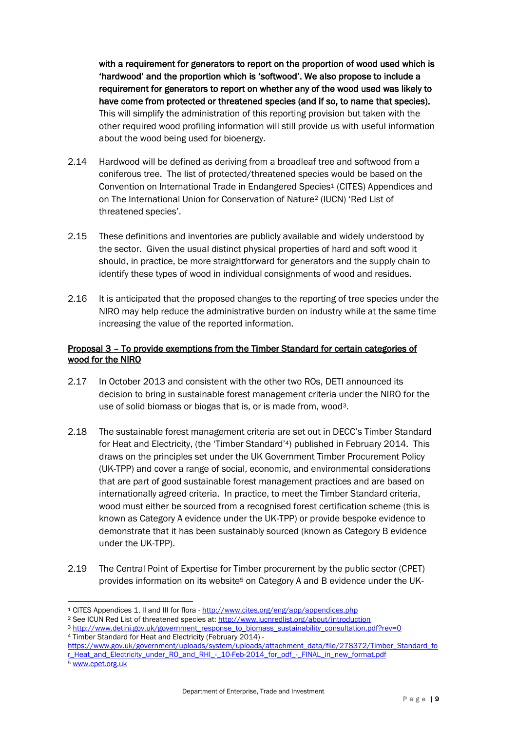with a requirement for generators to report on the proportion of wood used which is 'hardwood' and the proportion which is 'softwood'. We also propose to include a requirement for generators to report on whether any of the wood used was likely to have come from protected or threatened species (and if so, to name that species). This will simplify the administration of this reporting provision but taken with the other required wood profiling information will still provide us with useful information about the wood being used for bioenergy.

- 2.14 Hardwood will be defined as deriving from a broadleaf tree and softwood from a coniferous tree. The list of protected/threatened species would be based on the Convention on International Trade in Endangered Species<sup>1</sup> (CITES) Appendices and on The International Union for Conservation of Nature<sup>2</sup> (IUCN) 'Red List of threatened species'.
- 2.15 These definitions and inventories are publicly available and widely understood by the sector. Given the usual distinct physical properties of hard and soft wood it should, in practice, be more straightforward for generators and the supply chain to identify these types of wood in individual consignments of wood and residues.
- 2.16 It is anticipated that the proposed changes to the reporting of tree species under the NIRO may help reduce the administrative burden on industry while at the same time increasing the value of the reported information.

#### Proposal 3 – To provide exemptions from the Timber Standard for certain categories of wood for the NIRO

- 2.17 In October 2013 and consistent with the other two ROs, DETI announced its decision to bring in sustainable forest management criteria under the NIRO for the use of solid biomass or biogas that is, or is made from, wood3.
- 2.18 The sustainable forest management criteria are set out in DECC's Timber Standard for Heat and Electricity, (the 'Timber Standard'4) published in February 2014. This draws on the principles set under the UK Government Timber Procurement Policy (UK-TPP) and cover a range of social, economic, and environmental considerations that are part of good sustainable forest management practices and are based on internationally agreed criteria. In practice, to meet the Timber Standard criteria, wood must either be sourced from a recognised forest certification scheme (this is known as Category A evidence under the UK-TPP) or provide bespoke evidence to demonstrate that it has been sustainably sourced (known as Category B evidence under the UK-TPP).
- 2.19 The Central Point of Expertise for Timber procurement by the public sector (CPET) provides information on its website<sup>5</sup> on Category A and B evidence under the UK-

<sup>1</sup> <sup>1</sup> CITES Appendices 1, II and III for flora - http://www.cites.org/eng/app/appendices.php

<sup>2</sup> See ICUN Red List of threatened species at[: http://www.iucnredlist.org/about/introduction](http://www.iucnredlist.org/about/introduction) 

<sup>3</sup> [http://www.detini.gov.uk/government\\_response\\_to\\_biomass\\_sustainability\\_consultation.pdf?rev=0](http://www.detini.gov.uk/government_response_to_biomass_sustainability_consultation.pdf?rev=0) <sup>4</sup> Timber Standard for Heat and Electricity (February 2014) -

[https://www.gov.uk/government/uploads/system/uploads/attachment\\_data/file/278372/Timber\\_Standard\\_fo](https://www.gov.uk/government/uploads/system/uploads/attachment_data/file/278372/Timber_Standard_for_Heat_and_Electricity_under_RO_and_RHI_-_10-Feb-2014_for_pdf_-_FINAL_in_new_format.pdf) r\_Heat\_and\_Electricity\_under\_RO\_and\_RHI\_-\_ 10-Feb-2014\_for\_pdf\_-\_FINAL\_in\_new\_format.pdf

<sup>5</sup> [www.cpet.org.uk](http://www.cpet.org.uk/)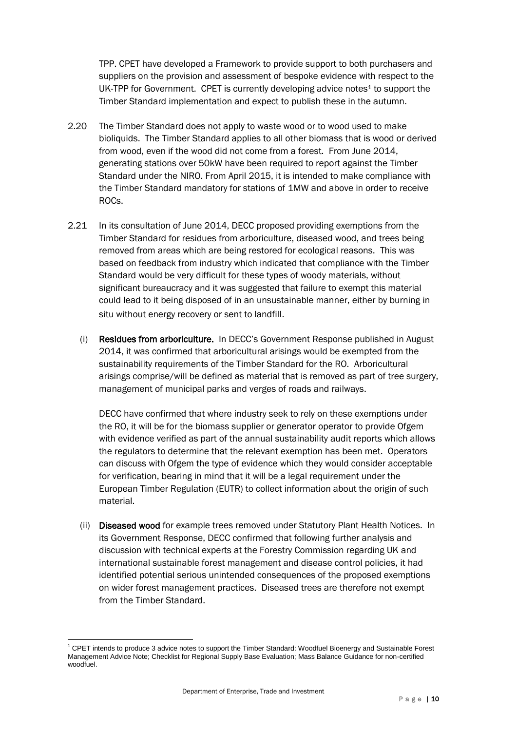TPP. CPET have developed a Framework to provide support to both purchasers and suppliers on the provision and assessment of bespoke evidence with respect to the UK-TPP for Government. CPET is currently developing advice notes $4$  to support the Timber Standard implementation and expect to publish these in the autumn.

- 2.20 The Timber Standard does not apply to waste wood or to wood used to make bioliquids. The Timber Standard applies to all other biomass that is wood or derived from wood, even if the wood did not come from a forest. From June 2014, generating stations over 50kW have been required to report against the Timber Standard under the NIRO. From April 2015, it is intended to make compliance with the Timber Standard mandatory for stations of 1MW and above in order to receive ROCs.
- 2.21 In its consultation of June 2014, DECC proposed providing exemptions from the Timber Standard for residues from arboriculture, diseased wood, and trees being removed from areas which are being restored for ecological reasons. This was based on feedback from industry which indicated that compliance with the Timber Standard would be very difficult for these types of woody materials, without significant bureaucracy and it was suggested that failure to exempt this material could lead to it being disposed of in an unsustainable manner, either by burning in situ without energy recovery or sent to landfill.
	- (i) Residues from arboriculture. In DECC's Government Response published in August 2014, it was confirmed that arboricultural arisings would be exempted from the sustainability requirements of the Timber Standard for the RO. Arboricultural arisings comprise/will be defined as material that is removed as part of tree surgery, management of municipal parks and verges of roads and railways.

DECC have confirmed that where industry seek to rely on these exemptions under the RO, it will be for the biomass supplier or generator operator to provide Ofgem with evidence verified as part of the annual sustainability audit reports which allows the regulators to determine that the relevant exemption has been met. Operators can discuss with Ofgem the type of evidence which they would consider acceptable for verification, bearing in mind that it will be a legal requirement under the European Timber Regulation (EUTR) to collect information about the origin of such material.

(ii) Diseased wood for example trees removed under Statutory Plant Health Notices. In its Government Response, DECC confirmed that following further analysis and discussion with technical experts at the Forestry Commission regarding UK and international sustainable forest management and disease control policies, it had identified potential serious unintended consequences of the proposed exemptions on wider forest management practices. Diseased trees are therefore not exempt from the Timber Standard.

<sup>1</sup>  $1$  CPET intends to produce 3 advice notes to support the Timber Standard: Woodfuel Bioenergy and Sustainable Forest Management Advice Note; Checklist for Regional Supply Base Evaluation; Mass Balance Guidance for non-certified woodfuel.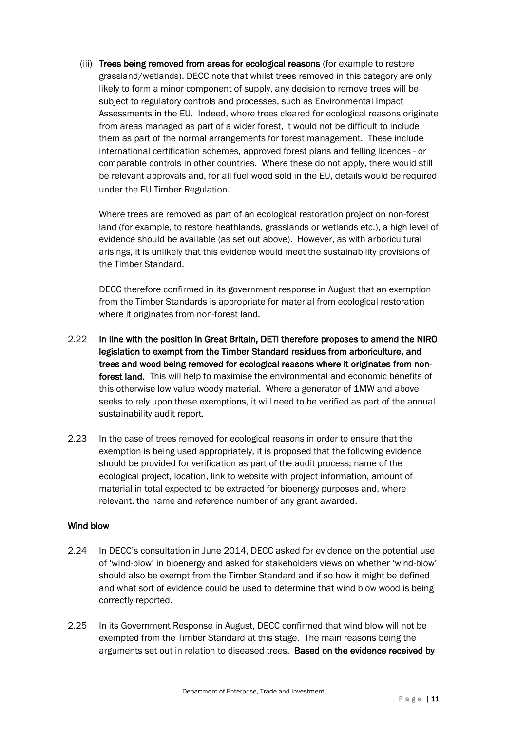(iii) Trees being removed from areas for ecological reasons (for example to restore grassland/wetlands). DECC note that whilst trees removed in this category are only likely to form a minor component of supply, any decision to remove trees will be subject to regulatory controls and processes, such as Environmental Impact Assessments in the EU. Indeed, where trees cleared for ecological reasons originate from areas managed as part of a wider forest, it would not be difficult to include them as part of the normal arrangements for forest management. These include international certification schemes, approved forest plans and felling licences - or comparable controls in other countries. Where these do not apply, there would still be relevant approvals and, for all fuel wood sold in the EU, details would be required under the EU Timber Regulation.

Where trees are removed as part of an ecological restoration project on non-forest land (for example, to restore heathlands, grasslands or wetlands etc.), a high level of evidence should be available (as set out above). However, as with arboricultural arisings, it is unlikely that this evidence would meet the sustainability provisions of the Timber Standard.

DECC therefore confirmed in its government response in August that an exemption from the Timber Standards is appropriate for material from ecological restoration where it originates from non-forest land.

- 2.22 In line with the position in Great Britain, DETI therefore proposes to amend the NIRO legislation to exempt from the Timber Standard residues from arboriculture, and trees and wood being removed for ecological reasons where it originates from nonforest land. This will help to maximise the environmental and economic benefits of this otherwise low value woody material. Where a generator of 1MW and above seeks to rely upon these exemptions, it will need to be verified as part of the annual sustainability audit report.
- 2.23 In the case of trees removed for ecological reasons in order to ensure that the exemption is being used appropriately, it is proposed that the following evidence should be provided for verification as part of the audit process; name of the ecological project, location, link to website with project information, amount of material in total expected to be extracted for bioenergy purposes and, where relevant, the name and reference number of any grant awarded.

#### Wind blow

- 2.24 In DECC's consultation in June 2014, DECC asked for evidence on the potential use of 'wind-blow' in bioenergy and asked for stakeholders views on whether 'wind-blow' should also be exempt from the Timber Standard and if so how it might be defined and what sort of evidence could be used to determine that wind blow wood is being correctly reported.
- 2.25 In its Government Response in August, DECC confirmed that wind blow will not be exempted from the Timber Standard at this stage. The main reasons being the arguments set out in relation to diseased trees. Based on the evidence received by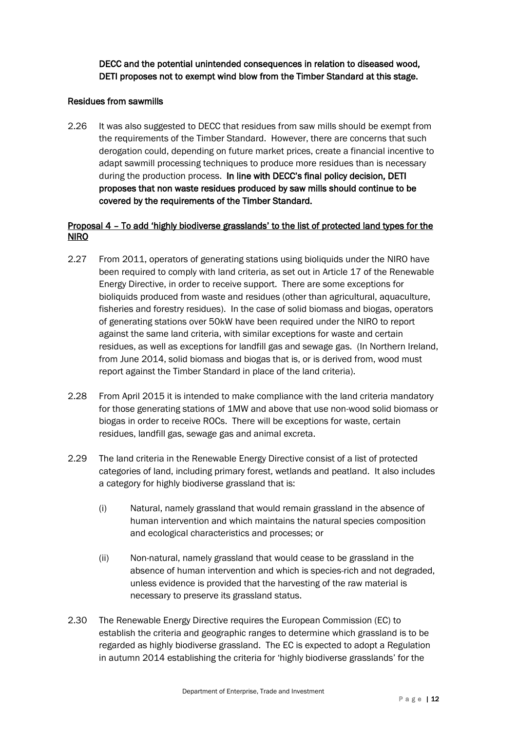DECC and the potential unintended consequences in relation to diseased wood, DETI proposes not to exempt wind blow from the Timber Standard at this stage.

#### Residues from sawmills

2.26 It was also suggested to DECC that residues from saw mills should be exempt from the requirements of the Timber Standard. However, there are concerns that such derogation could, depending on future market prices, create a financial incentive to adapt sawmill processing techniques to produce more residues than is necessary during the production process. In line with DECC's final policy decision, DETI proposes that non waste residues produced by saw mills should continue to be covered by the requirements of the Timber Standard.

#### Proposal 4 – To add 'highly biodiverse grasslands' to the list of protected land types for the NIRO

- 2.27 From 2011, operators of generating stations using bioliquids under the NIRO have been required to comply with land criteria, as set out in Article 17 of the Renewable Energy Directive, in order to receive support. There are some exceptions for bioliquids produced from waste and residues (other than agricultural, aquaculture, fisheries and forestry residues). In the case of solid biomass and biogas, operators of generating stations over 50kW have been required under the NIRO to report against the same land criteria, with similar exceptions for waste and certain residues, as well as exceptions for landfill gas and sewage gas. (In Northern Ireland, from June 2014, solid biomass and biogas that is, or is derived from, wood must report against the Timber Standard in place of the land criteria).
- 2.28 From April 2015 it is intended to make compliance with the land criteria mandatory for those generating stations of 1MW and above that use non-wood solid biomass or biogas in order to receive ROCs. There will be exceptions for waste, certain residues, landfill gas, sewage gas and animal excreta.
- 2.29 The land criteria in the Renewable Energy Directive consist of a list of protected categories of land, including primary forest, wetlands and peatland. It also includes a category for highly biodiverse grassland that is:
	- (i) Natural, namely grassland that would remain grassland in the absence of human intervention and which maintains the natural species composition and ecological characteristics and processes; or
	- (ii) Non-natural, namely grassland that would cease to be grassland in the absence of human intervention and which is species-rich and not degraded, unless evidence is provided that the harvesting of the raw material is necessary to preserve its grassland status.
- 2.30 The Renewable Energy Directive requires the European Commission (EC) to establish the criteria and geographic ranges to determine which grassland is to be regarded as highly biodiverse grassland. The EC is expected to adopt a Regulation in autumn 2014 establishing the criteria for 'highly biodiverse grasslands' for the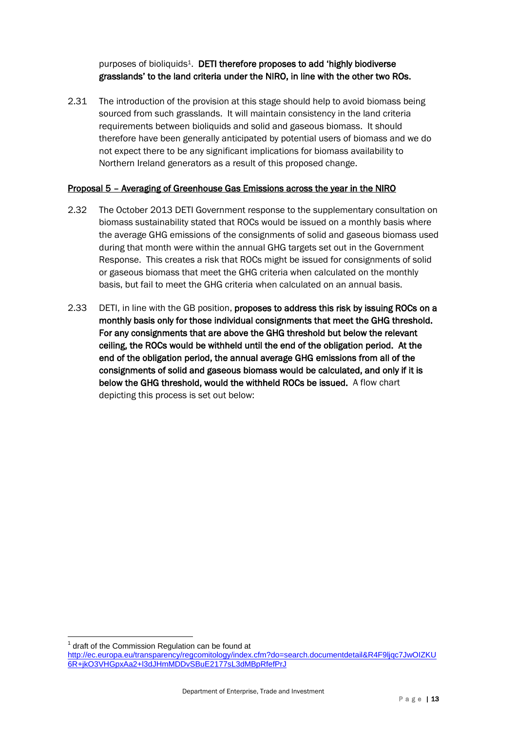purposes of bioliquids<sup>1</sup>. DETI therefore proposes to add 'highly biodiverse grasslands' to the land criteria under the NIRO, in line with the other two ROs.

2.31 The introduction of the provision at this stage should help to avoid biomass being sourced from such grasslands. It will maintain consistency in the land criteria requirements between bioliquids and solid and gaseous biomass. It should therefore have been generally anticipated by potential users of biomass and we do not expect there to be any significant implications for biomass availability to Northern Ireland generators as a result of this proposed change.

#### Proposal 5 – Averaging of Greenhouse Gas Emissions across the year in the NIRO

- 2.32 The October 2013 DETI Government response to the supplementary consultation on biomass sustainability stated that ROCs would be issued on a monthly basis where the average GHG emissions of the consignments of solid and gaseous biomass used during that month were within the annual GHG targets set out in the Government Response. This creates a risk that ROCs might be issued for consignments of solid or gaseous biomass that meet the GHG criteria when calculated on the monthly basis, but fail to meet the GHG criteria when calculated on an annual basis.
- 2.33 DETI, in line with the GB position, proposes to address this risk by issuing ROCs on a monthly basis only for those individual consignments that meet the GHG threshold. For any consignments that are above the GHG threshold but below the relevant ceiling, the ROCs would be withheld until the end of the obligation period. At the end of the obligation period, the annual average GHG emissions from all of the consignments of solid and gaseous biomass would be calculated, and only if it is below the GHG threshold, would the withheld ROCs be issued. A flow chart depicting this process is set out below:

 $1$  draft of the Commission Regulation can be found at

<u>.</u>

[http://ec.europa.eu/transparency/regcomitology/index.cfm?do=search.documentdetail&R4F9ljqc7JwOIZKU](http://ec.europa.eu/transparency/regcomitology/index.cfm?do=search.documentdetail&R4F9ljqc7JwOIZKU6R+jkO3VHGpxAa2+l3dJHmMDDvSBuE2177sL3dMBpRfefPrJ) [6R+jkO3VHGpxAa2+l3dJHmMDDvSBuE2177sL3dMBpRfefPrJ](http://ec.europa.eu/transparency/regcomitology/index.cfm?do=search.documentdetail&R4F9ljqc7JwOIZKU6R+jkO3VHGpxAa2+l3dJHmMDDvSBuE2177sL3dMBpRfefPrJ)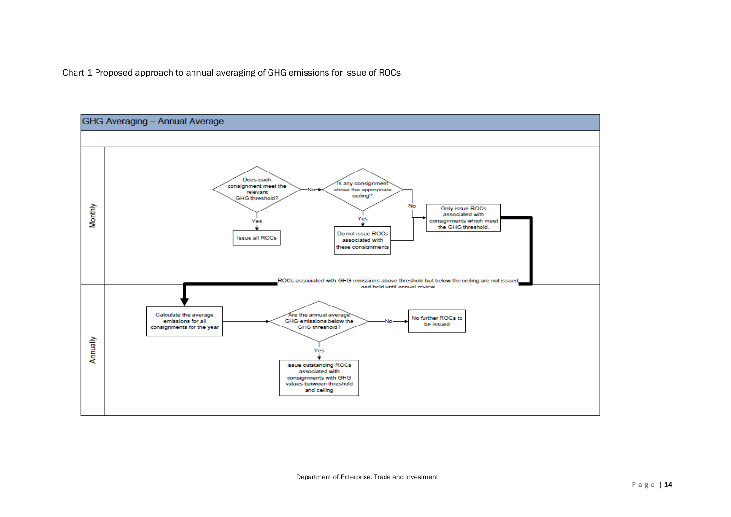

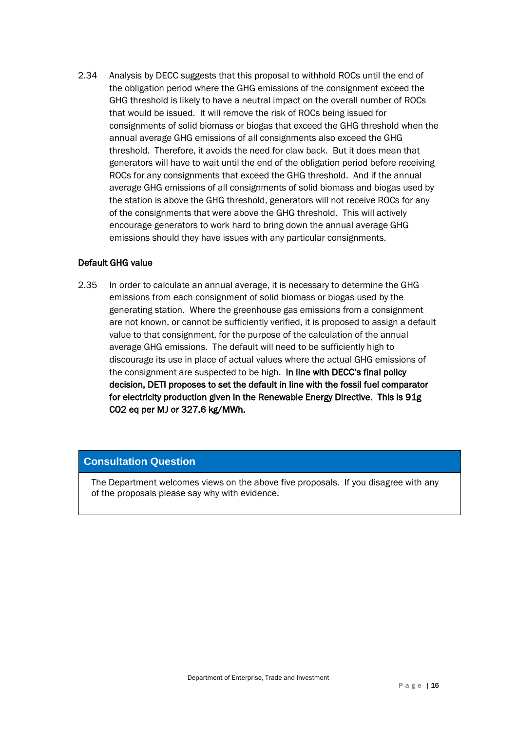2.34 Analysis by DECC suggests that this proposal to withhold ROCs until the end of the obligation period where the GHG emissions of the consignment exceed the GHG threshold is likely to have a neutral impact on the overall number of ROCs that would be issued. It will remove the risk of ROCs being issued for consignments of solid biomass or biogas that exceed the GHG threshold when the annual average GHG emissions of all consignments also exceed the GHG threshold. Therefore, it avoids the need for claw back. But it does mean that generators will have to wait until the end of the obligation period before receiving ROCs for any consignments that exceed the GHG threshold. And if the annual average GHG emissions of all consignments of solid biomass and biogas used by the station is above the GHG threshold, generators will not receive ROCs for any of the consignments that were above the GHG threshold. This will actively encourage generators to work hard to bring down the annual average GHG emissions should they have issues with any particular consignments.

#### Default GHG value

2.35 In order to calculate an annual average, it is necessary to determine the GHG emissions from each consignment of solid biomass or biogas used by the generating station. Where the greenhouse gas emissions from a consignment are not known, or cannot be sufficiently verified, it is proposed to assign a default value to that consignment, for the purpose of the calculation of the annual average GHG emissions. The default will need to be sufficiently high to discourage its use in place of actual values where the actual GHG emissions of the consignment are suspected to be high. In line with DECC's final policy decision, DETI proposes to set the default in line with the fossil fuel comparator for electricity production given in the Renewable Energy Directive. This is 91g CO2 eq per MJ or 327.6 kg/MWh.

#### **Consultation Question**

The Department welcomes views on the above five proposals. If you disagree with any of the proposals please say why with evidence.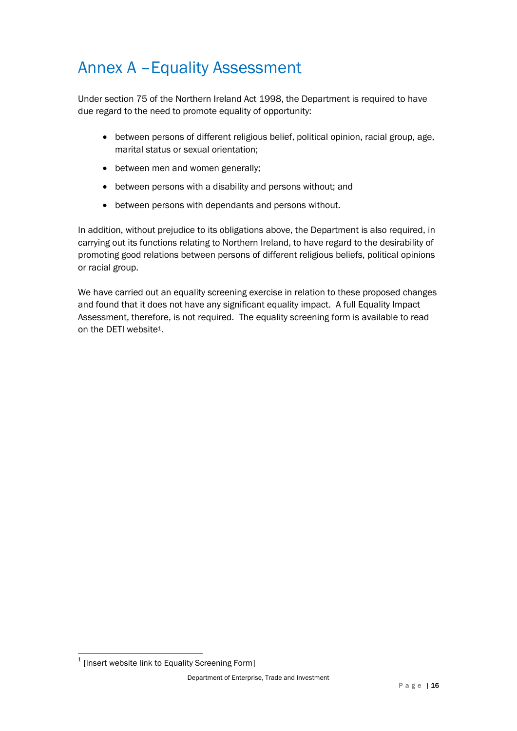### Annex A –Equality Assessment

Under section 75 of the Northern Ireland Act 1998, the Department is required to have due regard to the need to promote equality of opportunity:

- between persons of different religious belief, political opinion, racial group, age, marital status or sexual orientation;
- between men and women generally;
- between persons with a disability and persons without; and
- between persons with dependants and persons without.

In addition, without prejudice to its obligations above, the Department is also required, in carrying out its functions relating to Northern Ireland, to have regard to the desirability of promoting good relations between persons of different religious beliefs, political opinions or racial group.

We have carried out an equality screening exercise in relation to these proposed changes and found that it does not have any significant equality impact. A full Equality Impact Assessment, therefore, is not required. The equality screening form is available to read on the DETI website1.

 1 [Insert website link to Equality Screening Form]